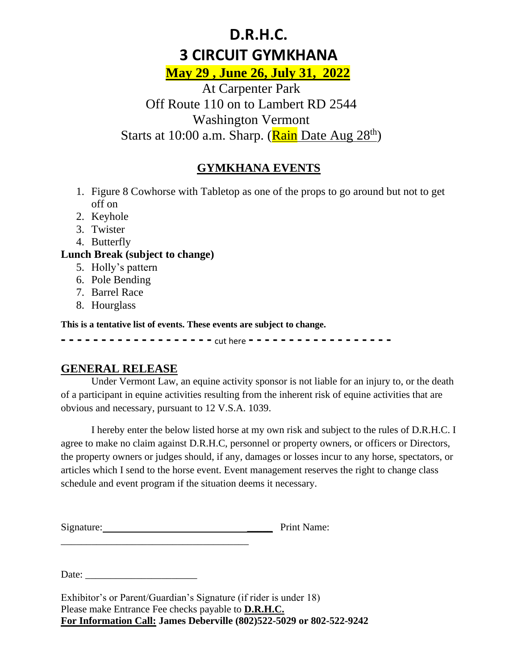# **D.R.H.C. 3 CIRCUIT GYMKHANA**

**May 29 , June 26, July 31, 2022**

At Carpenter Park Off Route 110 on to Lambert RD 2544 Washington Vermont Starts at 10:00 a.m. Sharp. (<mark>Rain</mark> Date Aug 28<sup>th</sup>)

# **GYMKHANA EVENTS**

- 1. Figure 8 Cowhorse with Tabletop as one of the props to go around but not to get off on
- 2. Keyhole
- 3. Twister
- 4. Butterfly

#### **Lunch Break (subject to change)**

- 5. Holly's pattern
- 6. Pole Bending
- 7. Barrel Race
- 8. Hourglass

**This is a tentative list of events. These events are subject to change.** 

**- - - - - - - - - - - - - - - - - - -** cut here **- - - - - - - - - - - - - - - - - -**

### **GENERAL RELEASE**

Under Vermont Law, an equine activity sponsor is not liable for an injury to, or the death of a participant in equine activities resulting from the inherent risk of equine activities that are obvious and necessary, pursuant to 12 V.S.A. 1039.

I hereby enter the below listed horse at my own risk and subject to the rules of D.R.H.C. I agree to make no claim against D.R.H.C, personnel or property owners, or officers or Directors, the property owners or judges should, if any, damages or losses incur to any horse, spectators, or articles which I send to the horse event. Event management reserves the right to change class schedule and event program if the situation deems it necessary.

Signature: Print Name:

Date:

\_\_\_\_\_\_\_\_\_\_\_\_\_\_\_\_\_\_\_\_\_\_\_\_\_\_\_\_\_\_\_\_\_\_\_\_\_

Exhibitor's or Parent/Guardian's Signature (if rider is under 18) Please make Entrance Fee checks payable to **D.R.H.C. For Information Call: James Deberville (802)522-5029 or 802-522-9242**